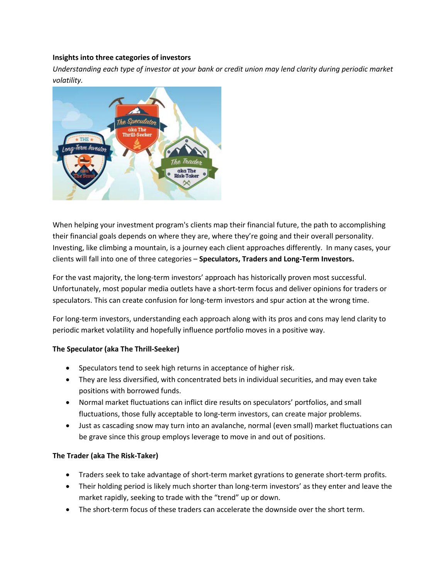#### **Insights into three categories of investors**

*Understanding each type of investor at your bank or credit union may lend clarity during periodic market volatility.*



When helping your investment program's clients map their financial future, the path to accomplishing their financial goals depends on where they are, where they're going and their overall personality. Investing, like climbing a mountain, is a journey each client approaches differently. In many cases, your clients will fall into one of three categories – **Speculators, Traders and Long-Term Investors.**

For the vast majority, the long-term investors' approach has historically proven most successful. Unfortunately, most popular media outlets have a short-term focus and deliver opinions for traders or speculators. This can create confusion for long-term investors and spur action at the wrong time.

For long-term investors, understanding each approach along with its pros and cons may lend clarity to periodic market volatility and hopefully influence portfolio moves in a positive way.

### **The Speculator (aka The Thrill-Seeker)**

- Speculators tend to seek high returns in acceptance of higher risk.
- They are less diversified, with concentrated bets in individual securities, and may even take positions with borrowed funds.
- Normal market fluctuations can inflict dire results on speculators' portfolios, and small fluctuations, those fully acceptable to long-term investors, can create major problems.
- Just as cascading snow may turn into an avalanche, normal (even small) market fluctuations can be grave since this group employs leverage to move in and out of positions.

### **The Trader (aka The Risk-Taker)**

- Traders seek to take advantage of short-term market gyrations to generate short-term profits.
- Their holding period is likely much shorter than long-term investors' as they enter and leave the market rapidly, seeking to trade with the "trend" up or down.
- The short-term focus of these traders can accelerate the downside over the short term.